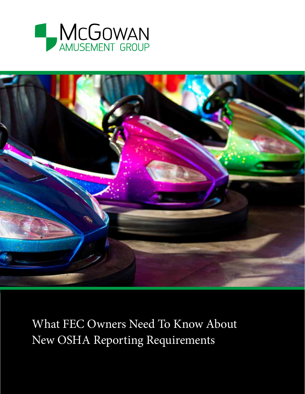



What FEC Owners Need To Know About New OSHA Reporting Requirements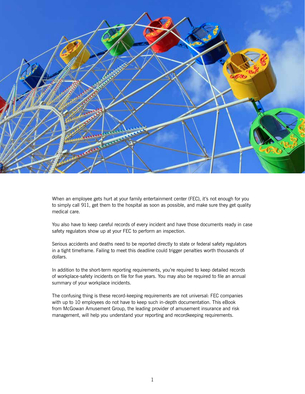

When an employee gets hurt at your family entertainment center (FEC), it's not enough for you to simply call 911, get them to the hospital as soon as possible, and make sure they get quality medical care.

You also have to keep careful records of every incident and have those documents ready in case safety regulators show up at your FEC to perform an inspection.

Serious accidents and deaths need to be reported directly to state or federal safety regulators in a tight timeframe. Failing to meet this deadline could trigger penalties worth thousands of dollars.

In addition to the short-term reporting requirements, you're required to keep detailed records of workplace-safety incidents on file for five years. You may also be required to file an annual summary of your workplace incidents.

The confusing thing is these record-keeping requirements are not universal: FEC companies with up to 10 employees do not have to keep such in-depth documentation. This eBook from McGowan Amusement Group, the leading provider of amusement insurance and risk management, will help you understand your reporting and recordkeeping requirements.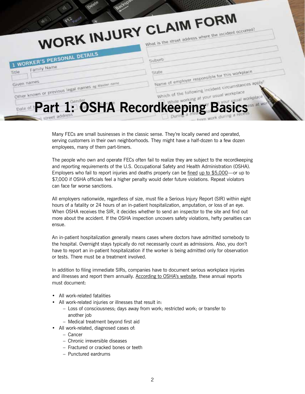|                                                                   | WORK INJURY CLAIM FORM<br>What is the street address where the incident occurred?                                |
|-------------------------------------------------------------------|------------------------------------------------------------------------------------------------------------------|
|                                                                   |                                                                                                                  |
| 1 WORKER'S PERSONAL DETAILS                                       | Suburb                                                                                                           |
| Family Name                                                       | State                                                                                                            |
| Given names<br>Other known or previous legal names as Maiden name | Name of employer responsible for this workplace<br>Which of the following incident circumstances apply?          |
|                                                                   | Date of <b>Part 1: OSHA RecordReeping</b> at your usual workplace work and the following at your usual workplace |

Many FECs are small businesses in the classic sense. They're locally owned and operated, serving customers in their own neighborhoods. They might have a half-dozen to a few dozen employees, many of them part-timers.

The people who own and operate FECs often fail to realize they are subject to the recordkeeping and reporting requirements of the U.S. Occupational Safety and Health Administration (OSHA). Employers who fail to report injuries and deaths properly can be fined up to \$5,000—or up to \$7,000 if OSHA officials feel a higher penalty would deter future violations. Repeat violators can face far worse sanctions.

All employers nationwide, regardless of size, must file a Serious Injury Report (SIR) within eight hours of a fatality or 24 hours of an in-patient hospitalization, amputation, or loss of an eye. When OSHA receives the SIR, it decides whether to send an inspector to the site and find out more about the accident. If the OSHA inspection uncovers safety violations, hefty penalties can ensue.

An in-patient hospitalization generally means cases where doctors have admitted somebody to the hospital. Overnight stays typically do not necessarily count as admissions. Also, you don't have to report an in-patient hospitalization if the worker is being admitted only for observation or tests. There must be a treatment involved.

In addition to filing immediate SIRs, companies have to document serious workplace injuries and illnesses and report them annually. According to OSHA's website, these annual reports must document:

- All work-related fatalities
- All work-related injuries or illnesses that result in:
	- Loss of consciousness; days away from work; restricted work; or transfer to another job
	- Medical treatment beyond first aid
- All work-related, diagnosed cases of:
	- Cancer
	- Chronic irreversible diseases
	- Fractured or cracked bones or teeth
	- Punctured eardrums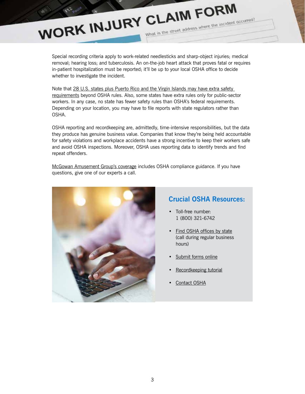#### Special recording criteria apply to work-related needlesticks and sharp-object injuries; medical removal; hearing loss; and tuberculosis. An on-the-job heart attack that proves fatal or requires in-patient hospitalization must be reported; it'll be up to your local OSHA office to decide whether to investigate the incident.

WORK INJURY CLAIM FORM

Note that 28 U.S. states plus Puerto Rico and the Virgin Islands may have extra safety requirements beyond OSHA rules. Also, some states have extra rules only for public-sector workers. In any case, no state has fewer safety rules than OSHA's federal requirements. Depending on your location, you may have to file reports with state regulators rather than OSHA.

OSHA reporting and recordkeeping are, admittedly, time-intensive responsibilities, but the data they produce has genuine business value. Companies that know they're being held accountable for safety violations and workplace accidents have a strong incentive to keep their workers safe and avoid OSHA inspections. Moreover, OSHA uses reporting data to identify trends and find repeat offenders.

McGowan Amusement Group's coverage includes OSHA compliance guidance. If you have questions, give one of our experts a call.



### **Crucial OSHA Resources:**

What is the street address where the incident occurred?

- Toll-free number: 1 (800) 321-6742
- Find OSHA offices by state (call during regular business hours)
- Submit forms online
- Recordkeeping tutorial
- Contact OSHA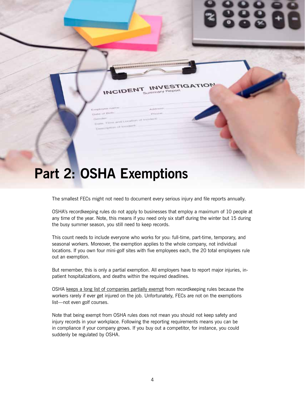# **Part 2: OSHA Exemptions**

The smallest FECs might not need to document every serious injury and file reports annually.

**STIGAT** 

OSHA's recordkeeping rules do not apply to businesses that employ a maximum of 10 people at any time of the year. Note, this means if you need only six staff during the winter but 15 during the busy summer season, you still need to keep records.

This count needs to include everyone who works for you: full-time, part-time, temporary, and seasonal workers. Moreover, the exemption applies to the whole company, not individual locations. If you own four mini-golf sites with five employees each, the 20 total employees rule out an exemption.

But remember, this is only a partial exemption. All employers have to report major injuries, inpatient hospitalizations, and deaths within the required deadlines.

OSHA keeps a long list of companies partially exempt from recordkeeping rules because the workers rarely if ever get injured on the job. Unfortunately, FECs are not on the exemptions list—not even golf courses.

Note that being exempt from OSHA rules does not mean you should not keep safety and injury records in your workplace. Following the reporting requirements means you can be in compliance if your company grows. If you buy out a competitor, for instance, you could suddenly be regulated by OSHA.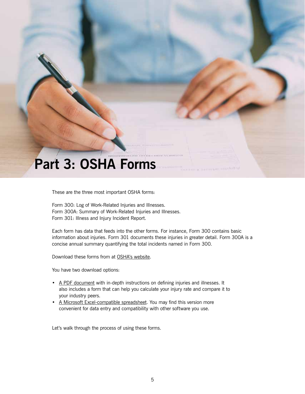## **Part 3: OSHA Forms**

These are the three most important OSHA forms:

Form 300: Log of Work-Related Injuries and Illnesses. Form 300A: Summary of Work-Related Injuries and Illnesses. Form 301: Illness and Injury Incident Report.

Each form has data that feeds into the other forms. For instance, Form 300 contains basic information about injuries. Form 301 documents these injuries in greater detail. Form 300A is a concise annual summary quantifying the total incidents named in Form 300.

Download these forms from at OSHA's website.

You have two download options:

- A PDF document with in-depth instructions on defining injuries and illnesses. It also includes a form that can help you calculate your injury rate and compare it to your industry peers.
- A Microsoft Excel-compatible spreadsheet. You may find this version more convenient for data entry and compatibility with other software you use.

Let's walk through the process of using these forms.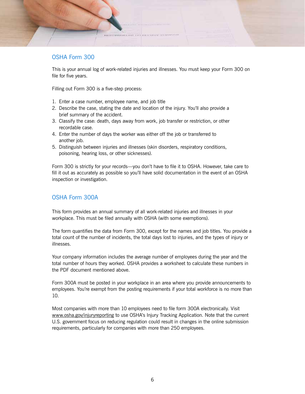### OSHA Form 300

This is your annual log of work-related injuries and illnesses. You must keep your Form 300 on file for five years.

Filling out Form 300 is a five-step process:

- 1. Enter a case number, employee name, and job title
- 2. Describe the case, stating the date and location of the injury. You'll also provide a brief summary of the accident.
- 3. Classify the case: death, days away from work, job transfer or restriction, or other recordable case.
- 4. Enter the number of days the worker was either off the job or transferred to another *job*.
- 5. Distinguish between injuries and illnesses (skin disorders, respiratory conditions, poisoning, hearing loss, or other sicknesses).

Form 300 is strictly for your records—you don't have to file it to OSHA. However, take care to fill it out as accurately as possible so you'll have solid documentation in the event of an OSHA inspection or investigation.

#### OSHA Form 300A

This form provides an annual summary of all work-related injuries and illnesses in your workplace. This must be filed annually with OSHA (with some exemptions).

The form quantifies the data from Form 300, except for the names and job titles. You provide a total count of the number of incidents, the total days lost to injuries, and the types of injury or illnesses.

Your company information includes the average number of employees during the year and the total number of hours they worked. OSHA provides a worksheet to calculate these numbers in the PDF document mentioned above.

Form 300A must be posted in your workplace in an area where you provide announcements to employees. You're exempt from the posting requirements if your total workforce is no more than 10.

Most companies with more than 10 employees need to file form 300A electronically. Visit www.osha.gov/injuryreporting to use OSHA's Injury Tracking Application. Note that the current U.S. government focus on reducing regulation could result in changes in the online submission requirements, particularly for companies with more than 250 employees.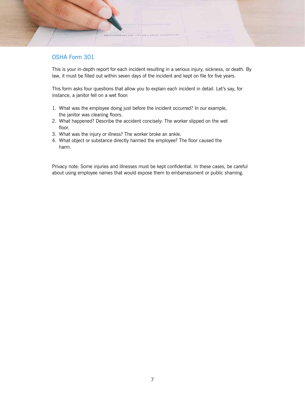### OSHA Form 301

This is your in-depth report for each incident resulting in a serious injury, sickness, or death. By law, it must be filled out within seven days of the incident and kept on file for five years.

This form asks four questions that allow you to explain each incident in detail. Let's say, for instance, a janitor fell on a wet floor:

- 1. What was the employee doing just before the incident occurred? In our example, the janitor was cleaning floors.
- 2. What happened? Describe the accident concisely: The worker slipped on the wet floor.
- 3. What was the injury or illness? The worker broke an ankle.
- 4. What object or substance directly harmed the employee? The floor caused the harm.

Privacy note: Some injuries and illnesses must be kept confidential. In these cases, be careful about using employee names that would expose them to embarrassment or public shaming.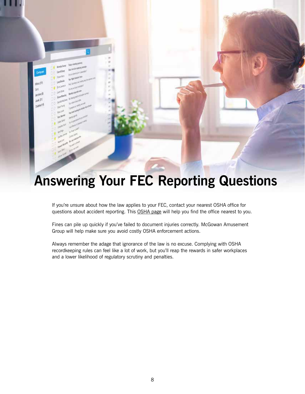## **Answering Your FEC Reporting Questions**

Hber<sup>(1)</sup> **SHL Avoid P** sek 51 Deleted P

> If you're unsure about how the law applies to your FEC, contact your nearest OSHA office for questions about accident reporting. This OSHA page will help you find the office nearest to you.

Fines can pile up quickly if you've failed to document injuries correctly. McGowan Amusement Group will help make sure you avoid costly OSHA enforcement actions.

Always remember the adage that ignorance of the law is no excuse. Complying with OSHA recordkeeping rules can feel like a lot of work, but you'll reap the rewards in safer workplaces and a lower likelihood of regulatory scrutiny and penalties.